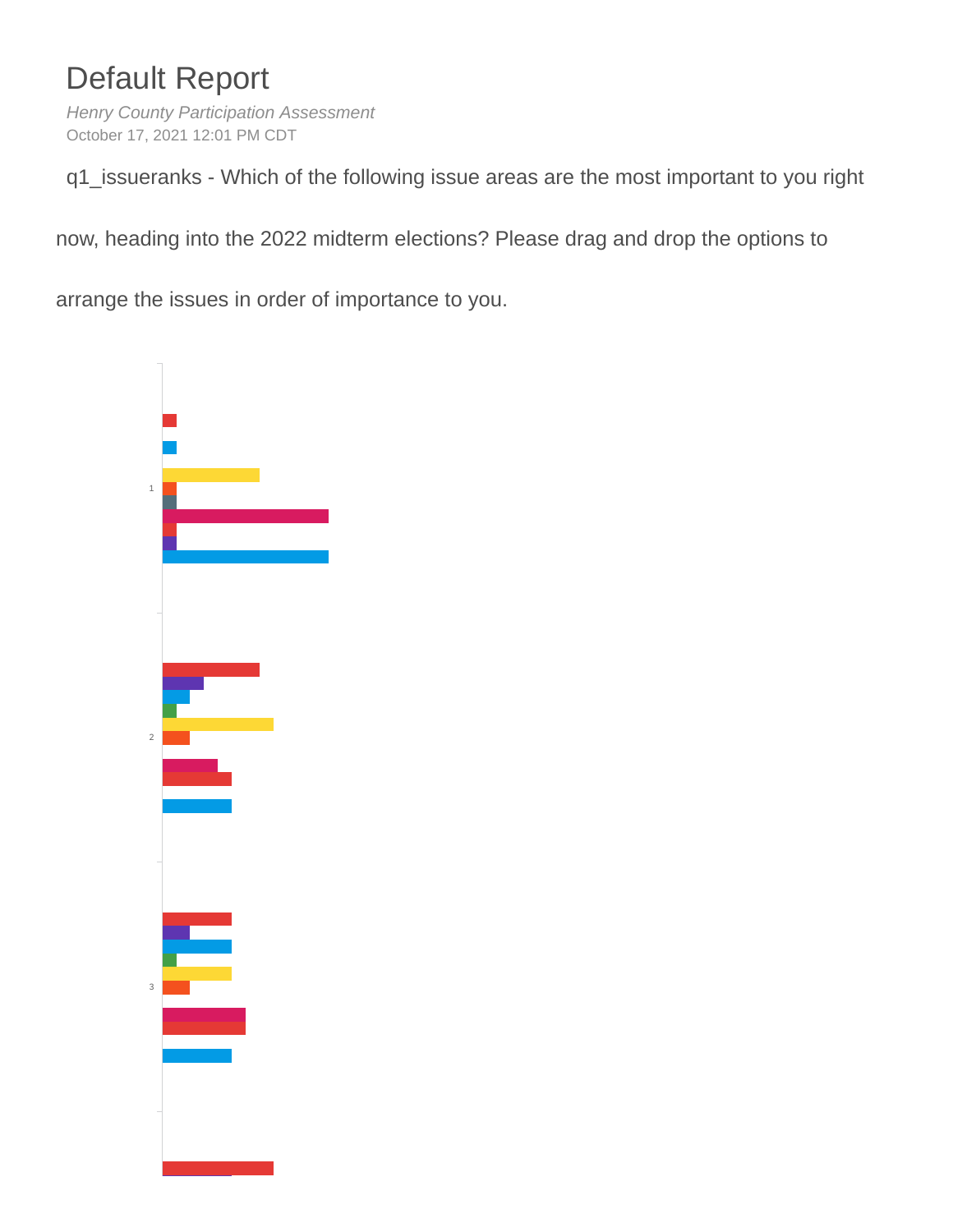# Default Report

*Henry County Participation Assessment* October 17, 2021 12:01 PM CDT

q1\_issueranks - Which of the following issue areas are the most important to you right

now, heading into the 2022 midterm elections? Please drag and drop the options to

arrange the issues in order of importance to you.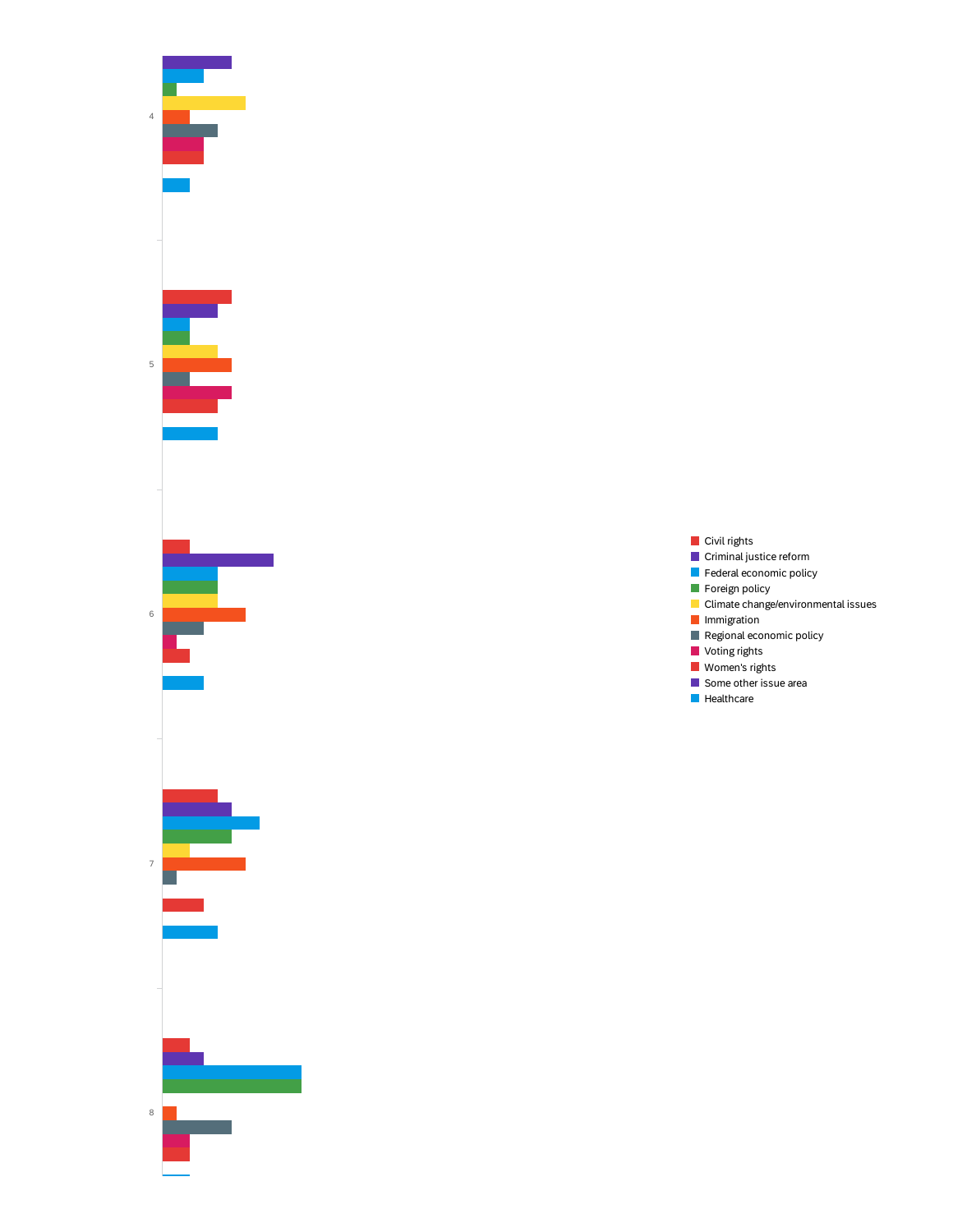

- Civil rights **Criminal justice reform**
- Federal economic policy
- **Foreign policy**
- **Climate change/environmental issues**
- **I**Immigration
- $\blacksquare$  Regional economic policy
- **Voting rights**
- **Women's rights**
- Some other issue area
- **Healthcare**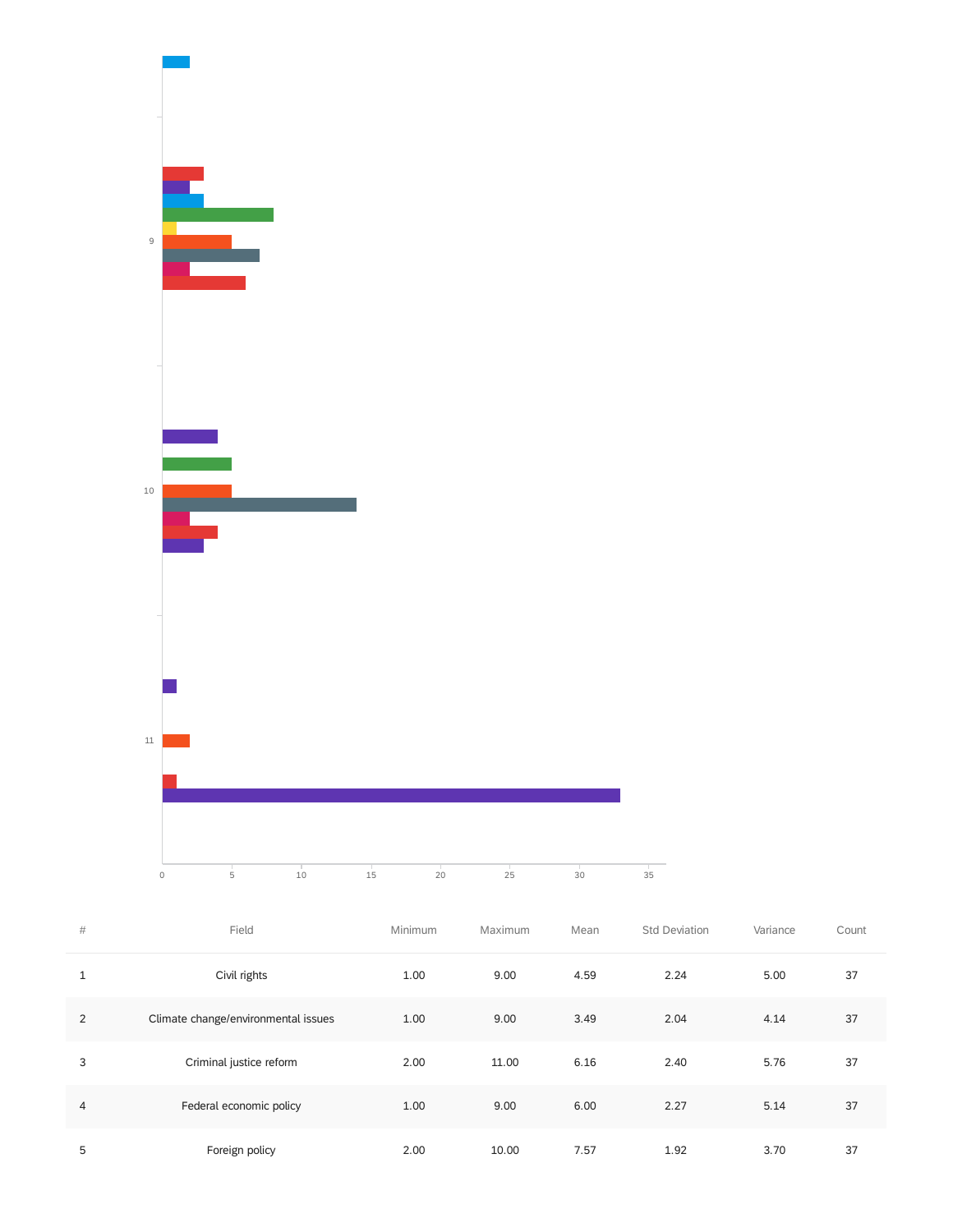

| #            | Field                               | Minimum | Maximum | Mean | <b>Std Deviation</b> | Variance | Count |
|--------------|-------------------------------------|---------|---------|------|----------------------|----------|-------|
| $\mathbf{1}$ | Civil rights                        | 1.00    | 9.00    | 4.59 | 2.24                 | 5.00     | 37    |
| 2            | Climate change/environmental issues | 1.00    | 9.00    | 3.49 | 2.04                 | 4.14     | 37    |
| 3            | Criminal justice reform             | 2.00    | 11.00   | 6.16 | 2.40                 | 5.76     | 37    |
| 4            | Federal economic policy             | 1.00    | 9.00    | 6.00 | 2.27                 | 5.14     | 37    |
| 5            | Foreign policy                      | 2.00    | 10.00   | 7.57 | 1.92                 | 3.70     | 37    |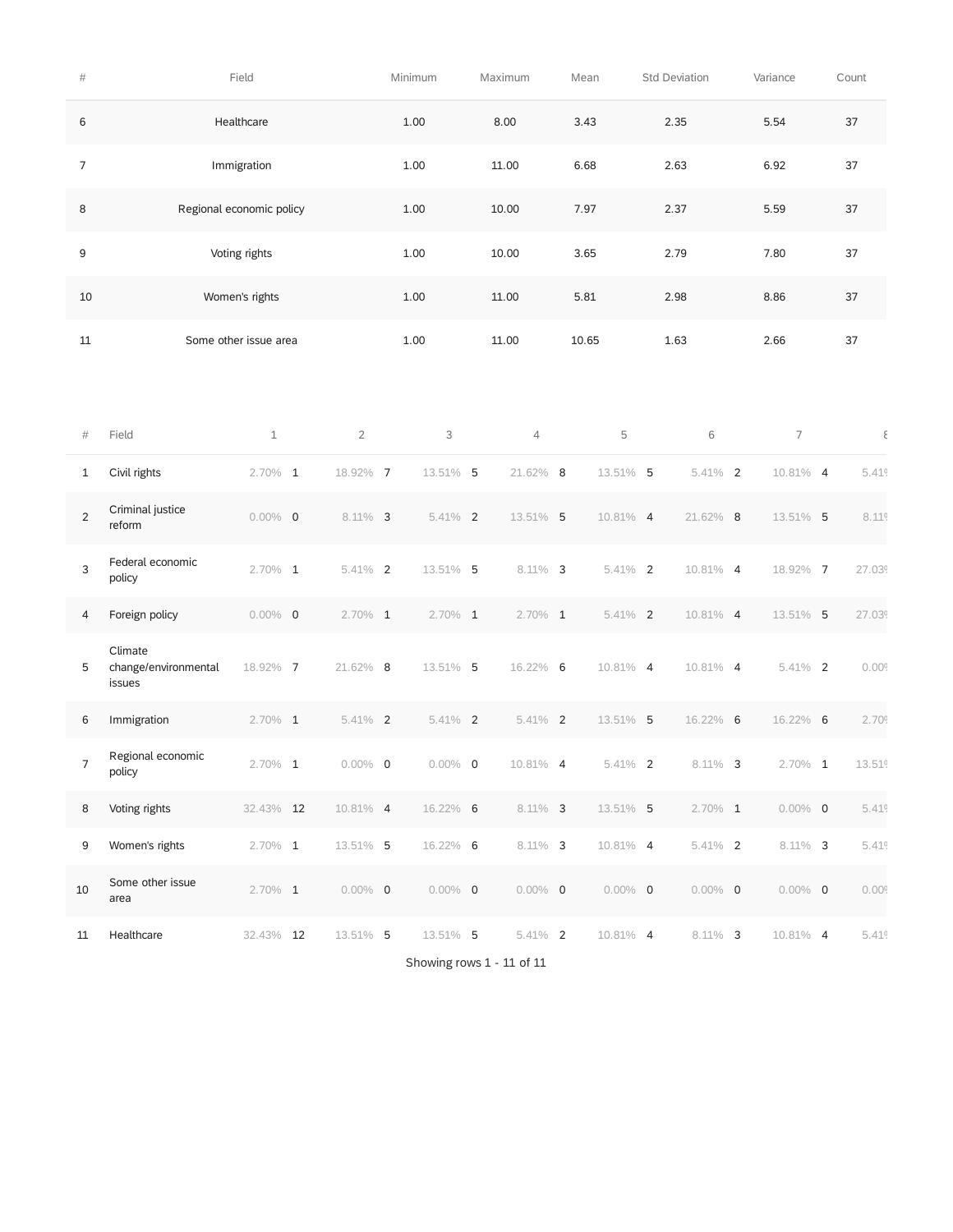| $\#$           |                                           | Field                    |                | Minimum    |  | Maximum        | Mean        | <b>Std Deviation</b> | Variance       | Count             |
|----------------|-------------------------------------------|--------------------------|----------------|------------|--|----------------|-------------|----------------------|----------------|-------------------|
| 6              |                                           | Healthcare               |                | 1.00       |  | 8.00           | 3.43        | 2.35                 | 5.54           | 37                |
| 7              |                                           | Immigration              |                | 1.00       |  | 11.00          | 6.68        | 2.63                 | 6.92           | 37                |
| 8              |                                           | Regional economic policy |                | 1.00       |  | 10.00          | 7.97        | 2.37                 | 5.59           | 37                |
| 9              |                                           | Voting rights            |                | 1.00       |  | 10.00          | 3.65        | 2.79                 | 7.80           | 37                |
| 10             | Women's rights                            |                          |                | 1.00       |  | 11.00          | 5.81        | 2.98                 | 8.86           | $37\,$            |
| 11             |                                           | Some other issue area    |                | 1.00       |  | 11.00          | 10.65       | 1.63                 | 2.66           | 37                |
|                |                                           |                          |                |            |  |                |             |                      |                |                   |
| #              | Field                                     | $1\,$                    | $\overline{2}$ | 3          |  | $\overline{4}$ | 5           | 6                    | $\overline{7}$ | ξ                 |
| $\mathbf{1}$   | Civil rights                              | $2.70\%$ 1               | 18.92% 7       | 13.51% 5   |  | 21.62% 8       | 13.51% 5    | 5.41% 2              | 10.81% 4       | 5.41 <sup>c</sup> |
| $\overline{2}$ | Criminal justice<br>reform                | $0.00\%$ 0               | $8.11\%$ 3     | 5.41% 2    |  | 13.51% 5       | 10.81% 4    | 21.62% 8             | 13.51% 5       | 8.11 <sup>c</sup> |
| 3              | Federal economic<br>policy                | 2.70% 1                  | $5.41\%$ 2     | 13.51% 5   |  | $8.11\%$ 3     | $5.41\%$ 2  | 10.81% 4             | 18.92% 7       | 27.039            |
| 4              | Foreign policy                            | $0.00\%$ 0               | $2.70\%$ 1     | $2.70\%$ 1 |  | $2.70\%$ 1     | $5.41\%$ 2  | 10.81% 4             | 13.51% 5       | 27.039            |
| 5              | Climate<br>change/environmental<br>issues | 18.92% 7                 | 21.62% 8       | 13.51% 5   |  | 16.22% 6       | 10.81% 4    | 10.81% 4             | 5.41% 2        | 0.009             |
| 6              | Immigration                               | $2.70\%$ 1               | $5.41\%$ 2     | 5.41% 2    |  | $5.41\%$ 2     | 13.51% 5    | 16.22% 6             | 16.22% 6       | 2.709             |
| 7              | Regional economic<br>policy               | $2.70\%$ 1               | $0.00\%$ 0     | $0.00\%$ 0 |  | 10.81% 4       | $5.41\%$ 2  | $8.11\%$ 3           | $2.70\%$ 1     | 13.519            |
| 8              | Voting rights                             | 32.43% 12                | $10.81\%$ 4    | 16.22% 6   |  | $8.11\%$ 3     | 13.51% 5    | $2.70\%$ 1           | $0.00\%$ 0     | 5.419             |
| 9              | Women's rights                            | $2.70\%$ 1               | 13.51% 5       | 16.22% 6   |  | $8.11\%$ 3     | $10.81\%$ 4 | $5.41\%$ 2           | $8.11\%$ 3     | 5.41 <sup>c</sup> |
| 10             | Some other issue<br>area                  | $2.70\%$ 1               | $0.00\%$ 0     | $0.00\%$ 0 |  | $0.00\%$ 0     | $0.00\%$ 0  | $0.00\%$ 0           | $0.00\%$ 0     | 0.009             |
| 11             | Healthcare                                | 32.43% 12                | 13.51% 5       | 13.51% 5   |  | $5.41\%$ 2     | 10.81% 4    | $8.11\%$ 3           | 10.81% 4       | 5.41 <sup>c</sup> |

Showing rows 1 - 11 of 11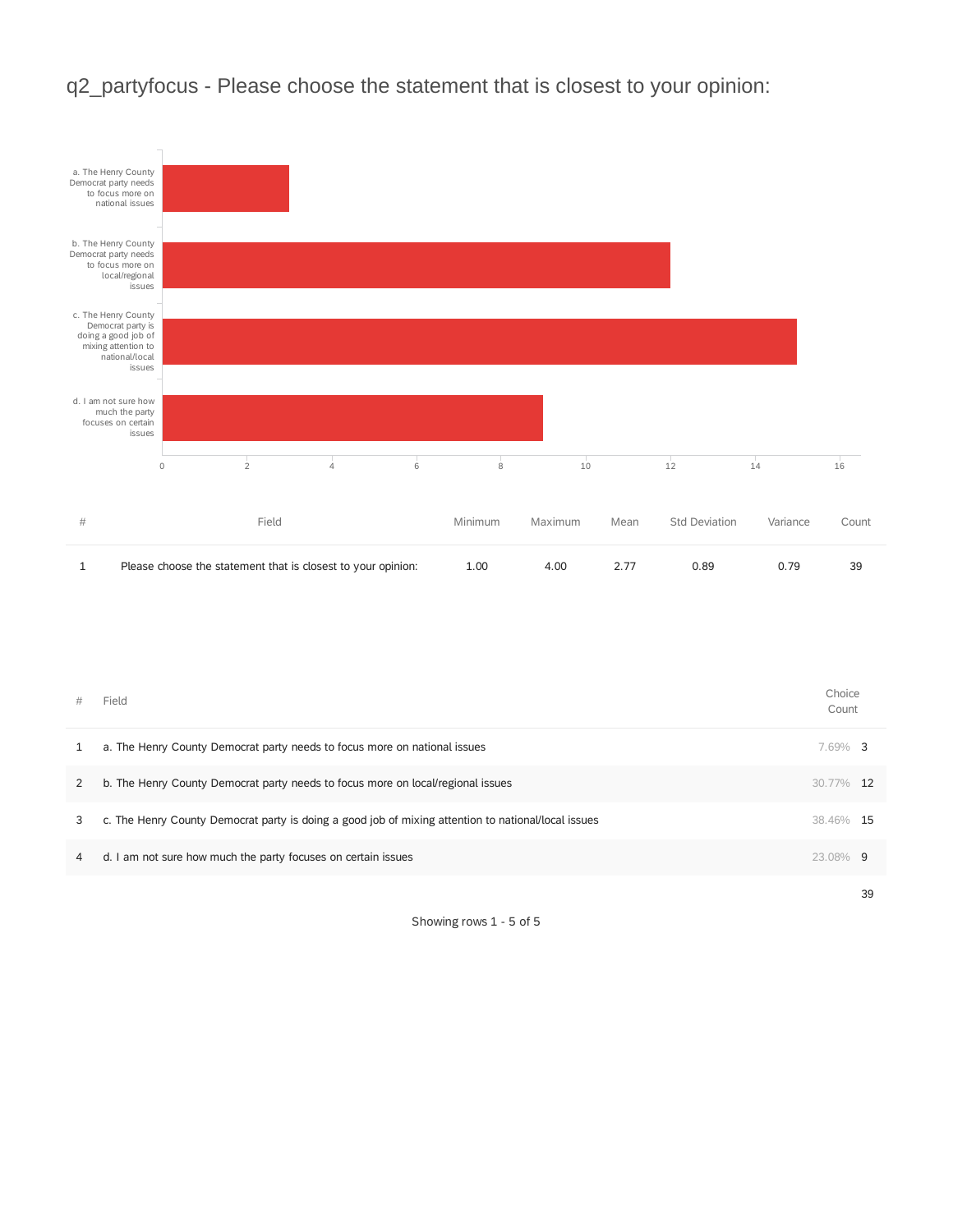

### q2\_partyfocus - Please choose the statement that is closest to your opinion:

| #              | Field                                                                                               | Choice<br>Count |     |
|----------------|-----------------------------------------------------------------------------------------------------|-----------------|-----|
| 1              | a. The Henry County Democrat party needs to focus more on national issues                           | 7.69% 3         |     |
| $\overline{2}$ | b. The Henry County Democrat party needs to focus more on local/regional issues                     | 30.77%          | -12 |
| 3              | c. The Henry County Democrat party is doing a good job of mixing attention to national/local issues | 38.46%          | -15 |
| 4              | d. I am not sure how much the party focuses on certain issues                                       | 23.08% 9        |     |
|                |                                                                                                     |                 | 39  |

Showing rows 1 - 5 of 5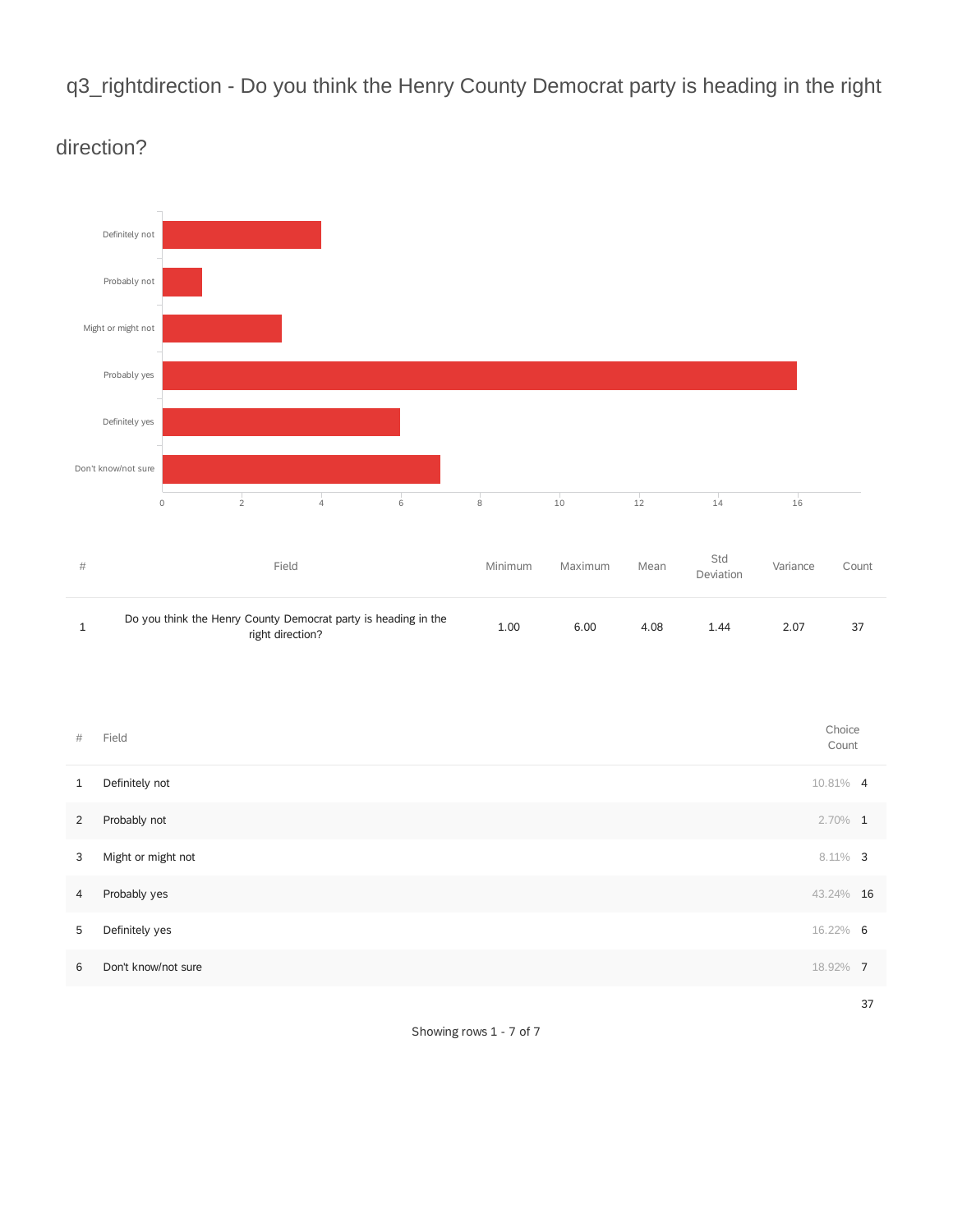q3\_rightdirection - Do you think the Henry County Democrat party is heading in the right



### direction?

Showing rows 1 - 7 of 7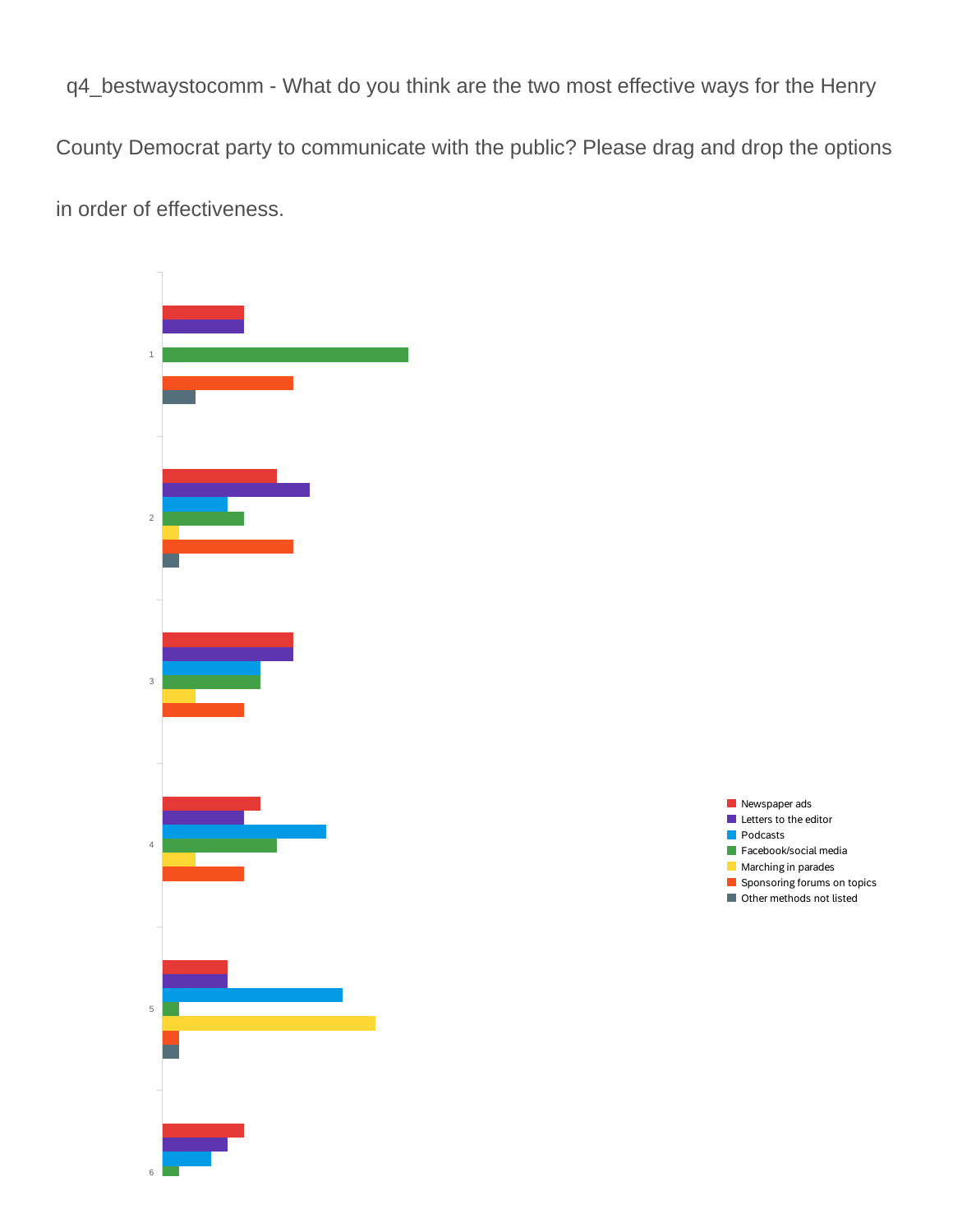q4\_bestwaystocomm - What do you think are the two most effective ways for the Henry

County Democrat party to communicate with the public? Please drag and drop the options

in order of effectiveness.



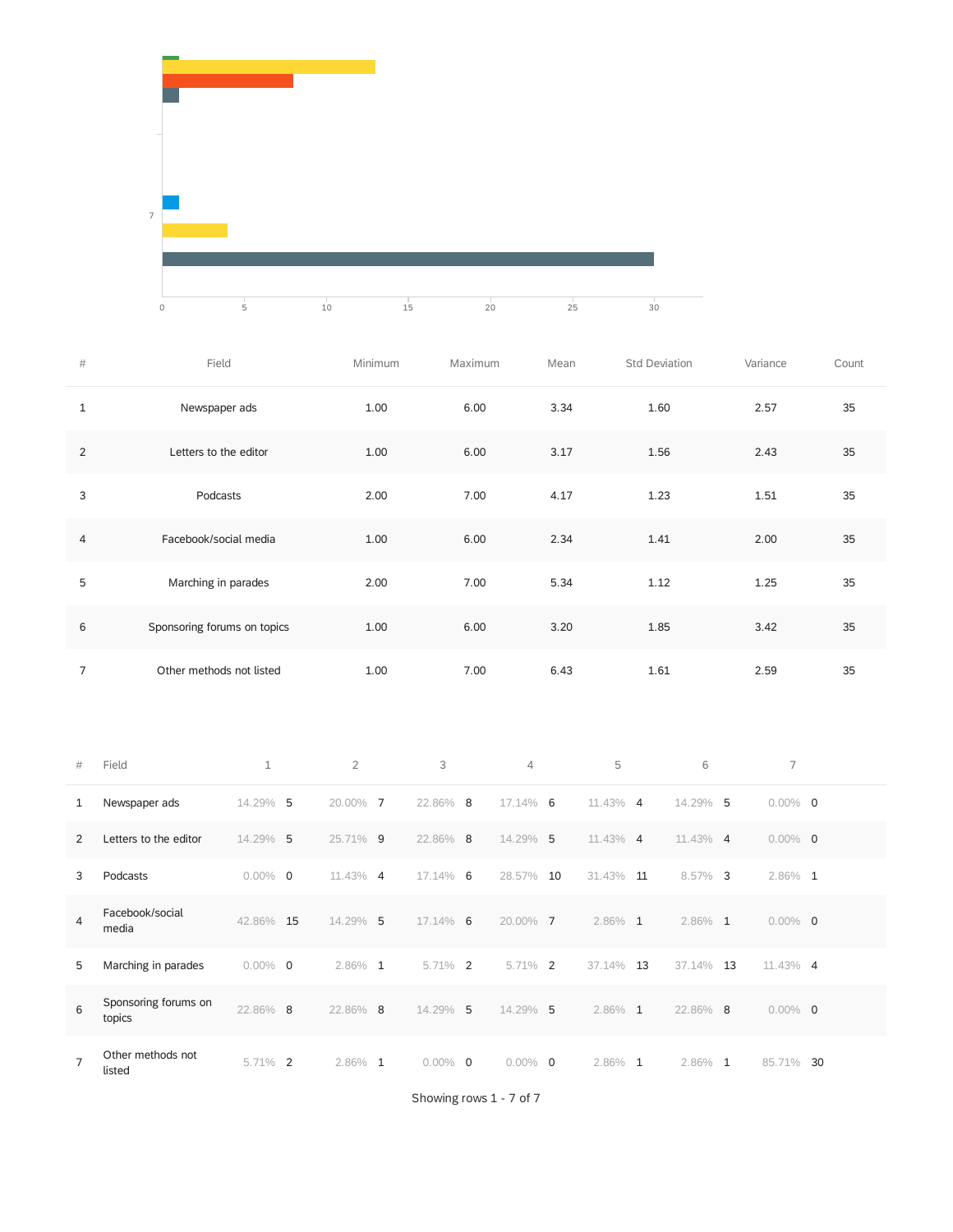

| $\#$           | Field                       | Minimum | Maximum | Mean | Std Deviation | Variance | Count |
|----------------|-----------------------------|---------|---------|------|---------------|----------|-------|
| $\mathbf{1}$   | Newspaper ads               | 1.00    | 6.00    | 3.34 | 1.60          | 2.57     | 35    |
| 2              | Letters to the editor       | 1.00    | 6.00    | 3.17 | 1.56          | 2.43     | 35    |
| 3              | Podcasts                    | 2.00    | 7.00    | 4.17 | 1.23          | 1.51     | 35    |
| 4              | Facebook/social media       | 1.00    | 6.00    | 2.34 | 1.41          | 2.00     | 35    |
| 5              | Marching in parades         | 2.00    | 7.00    | 5.34 | 1.12          | 1.25     | 35    |
| 6              | Sponsoring forums on topics | 1.00    | 6.00    | 3.20 | 1.85          | 3.42     | 35    |
| $\overline{7}$ | Other methods not listed    | 1.00    | 7.00    | 6.43 | 1.61          | 2.59     | 35    |

| #              | Field                          | $\mathbf{1}$               | $\overline{2}$ | 3                          | $\overline{4}$             | 5                            | 6                     | 7                            |    |
|----------------|--------------------------------|----------------------------|----------------|----------------------------|----------------------------|------------------------------|-----------------------|------------------------------|----|
| 1              | Newspaper ads                  | 5<br>14.29%                | 20.00%         | 22.86% 8<br>$\overline{7}$ | $17.14\%$ 6                | 11.43% 4                     | 14.29%                | 5<br>$0.00\%$ 0              |    |
| 2              | Letters to the editor          | 14.29% 5                   | 25.71% 9       | 22.86% 8                   | 14.29% 5                   | 11.43% 4                     | 11.43% 4              | $0.00\%$ 0                   |    |
| 3              | Podcasts                       | $0.00\%$<br>$\overline{0}$ | 11.43% 4       | 17.14% 6                   | 28.57%                     | 31.43%<br>10                 | 8.57%<br>11           | $\overline{3}$<br>$2.86\%$ 1 |    |
| 4              | Facebook/social<br>media       | 42.86%<br>15               | 14.29% 5       | 17.14% 6                   | 20.00%                     | $\overline{7}$<br>$2.86\%$ 1 | 2.86% 1               | $0.00\%$ 0                   |    |
| 5              | Marching in parades            | $0.00\%$<br>$\overline{0}$ | $2.86\%$ 1     | 5.71%                      | $\overline{2}$<br>5.71%    | 2<br>37.14%                  | 13<br>37.14%          | 13<br>11.43% 4               |    |
| 6              | Sponsoring forums on<br>topics | 22.86% 8                   | 22.86% 8       | 14.29%                     | 14.29%<br>-5               | 5<br>2.86%                   | 22.86%<br>1           | 8<br>$0.00\%$ 0              |    |
| $\overline{7}$ | Other methods not<br>listed    | $\overline{2}$<br>5.71%    | 2.86%          | $0.00\%$<br>1              | $\overline{0}$<br>$0.00\%$ | 2.86%<br>$\overline{0}$      | 2.86%<br>$\mathbf{1}$ | $\mathbf{1}$<br>85.71%       | 30 |

Showing rows 1 - 7 of 7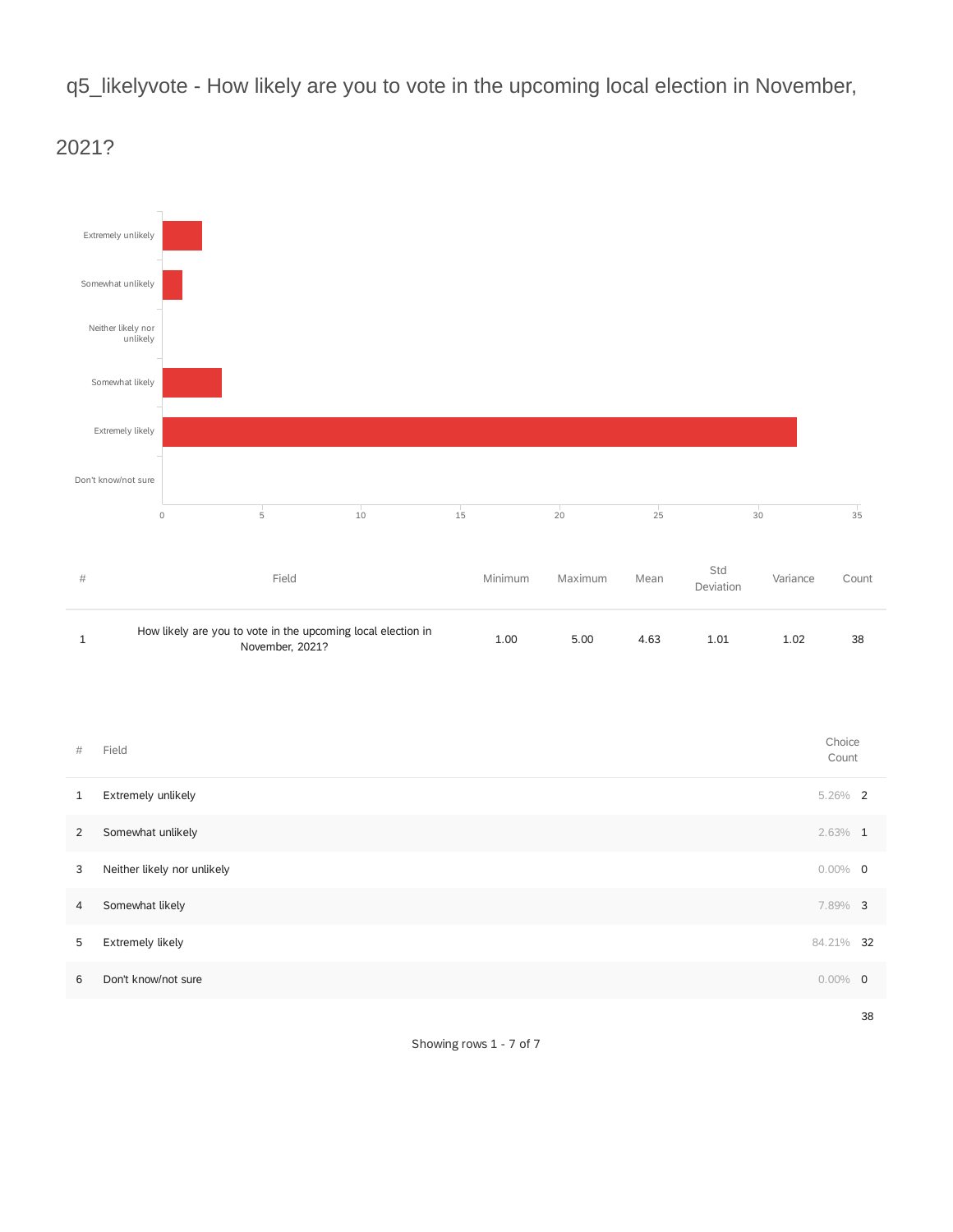q5\_likelyvote - How likely are you to vote in the upcoming local election in November,



2021?

Showing rows 1 - 7 of 7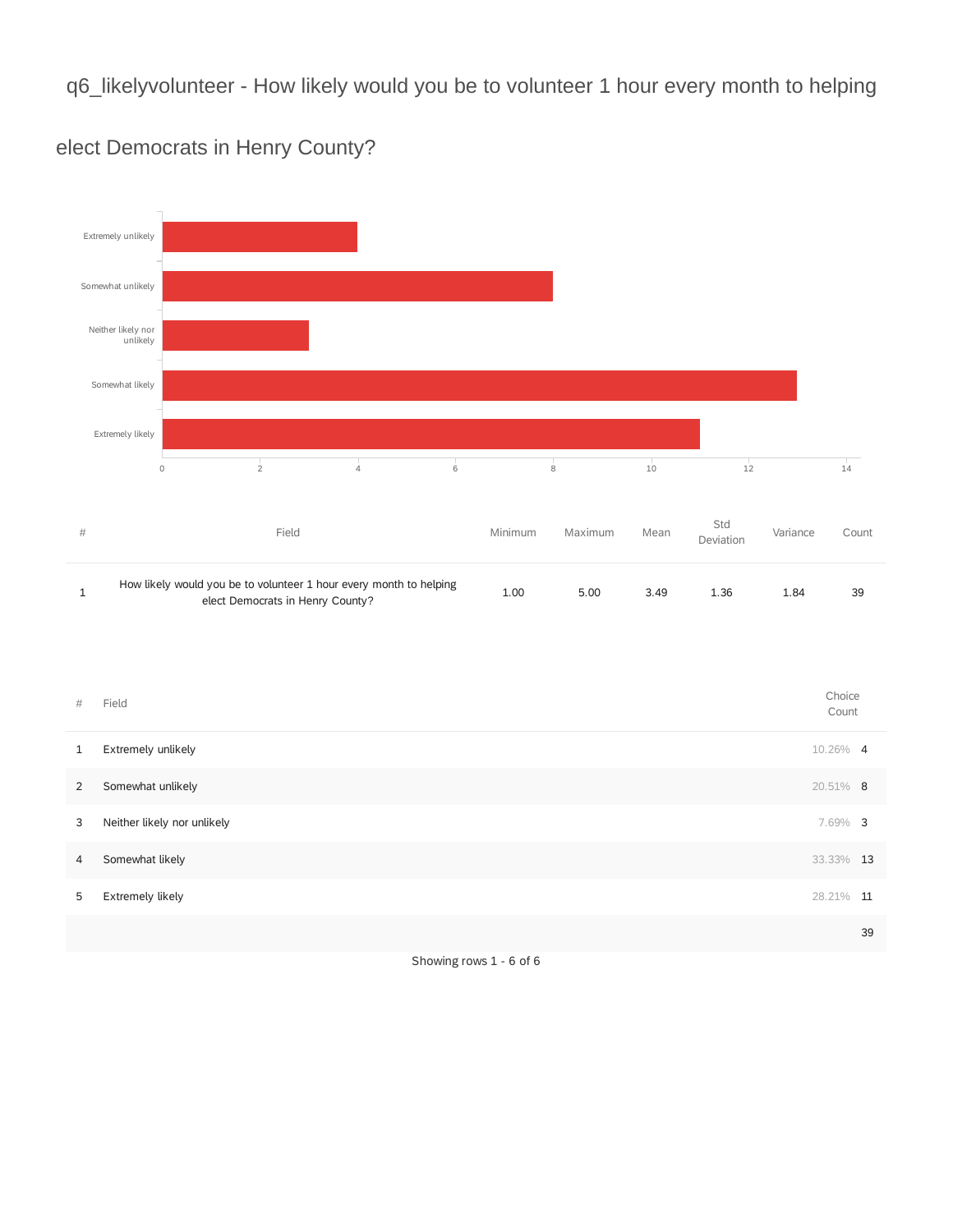q6\_likelyvolunteer - How likely would you be to volunteer 1 hour every month to helping



elect Democrats in Henry County?

| #            | Field                       | Choice<br>Count |    |
|--------------|-----------------------------|-----------------|----|
| $\mathbf{1}$ | Extremely unlikely          | 10.26% 4        |    |
| 2            | Somewhat unlikely           | 20.51% 8        |    |
| 3            | Neither likely nor unlikely | 7.69% 3         |    |
| 4            | Somewhat likely             | 33.33% 13       |    |
| 5            | Extremely likely            | 28.21%          | 11 |
|              |                             |                 | 39 |
|              |                             |                 |    |

Showing rows 1 - 6 of 6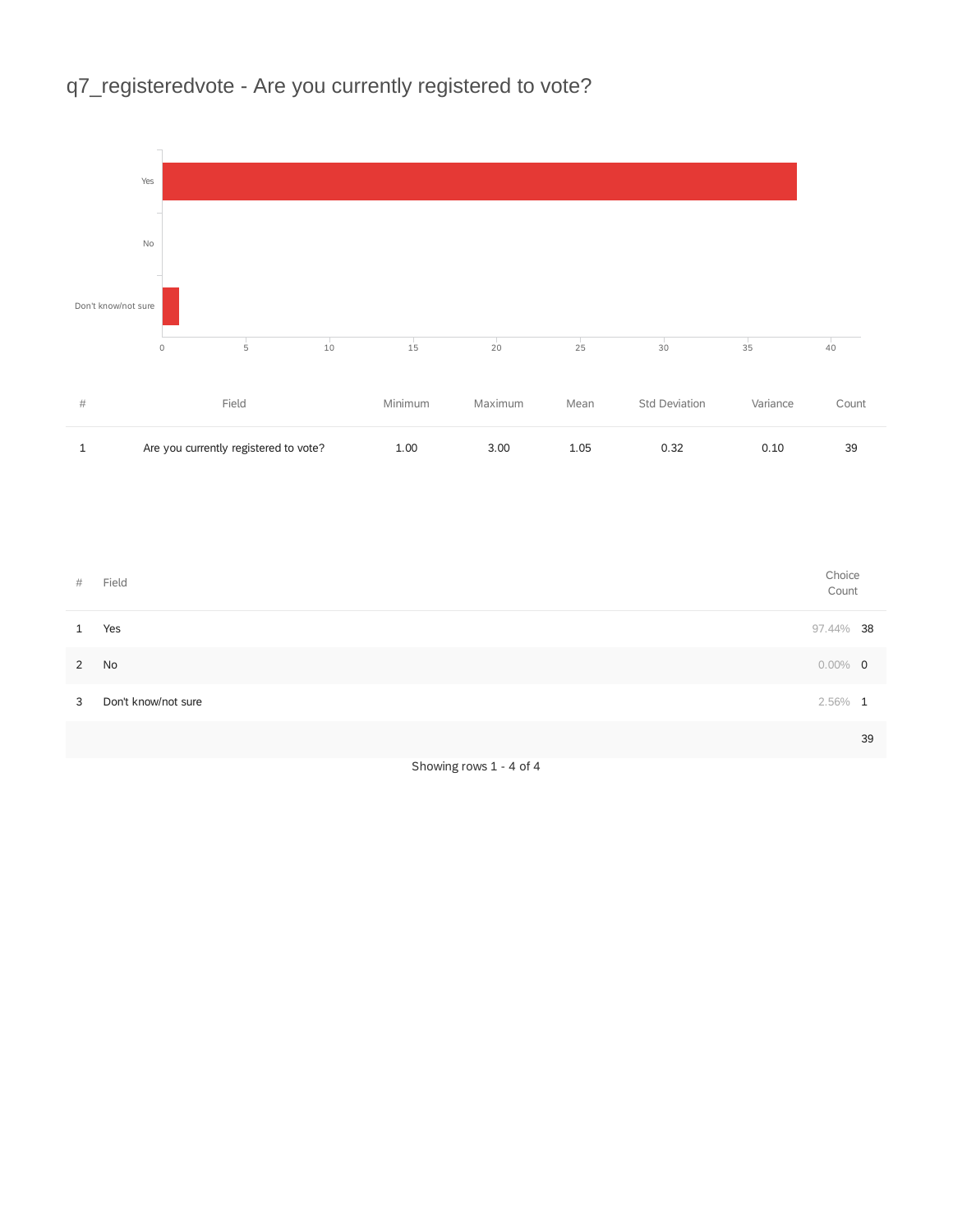## q7\_registeredvote - Are you currently registered to vote?



Showing rows 1 - 4 of 4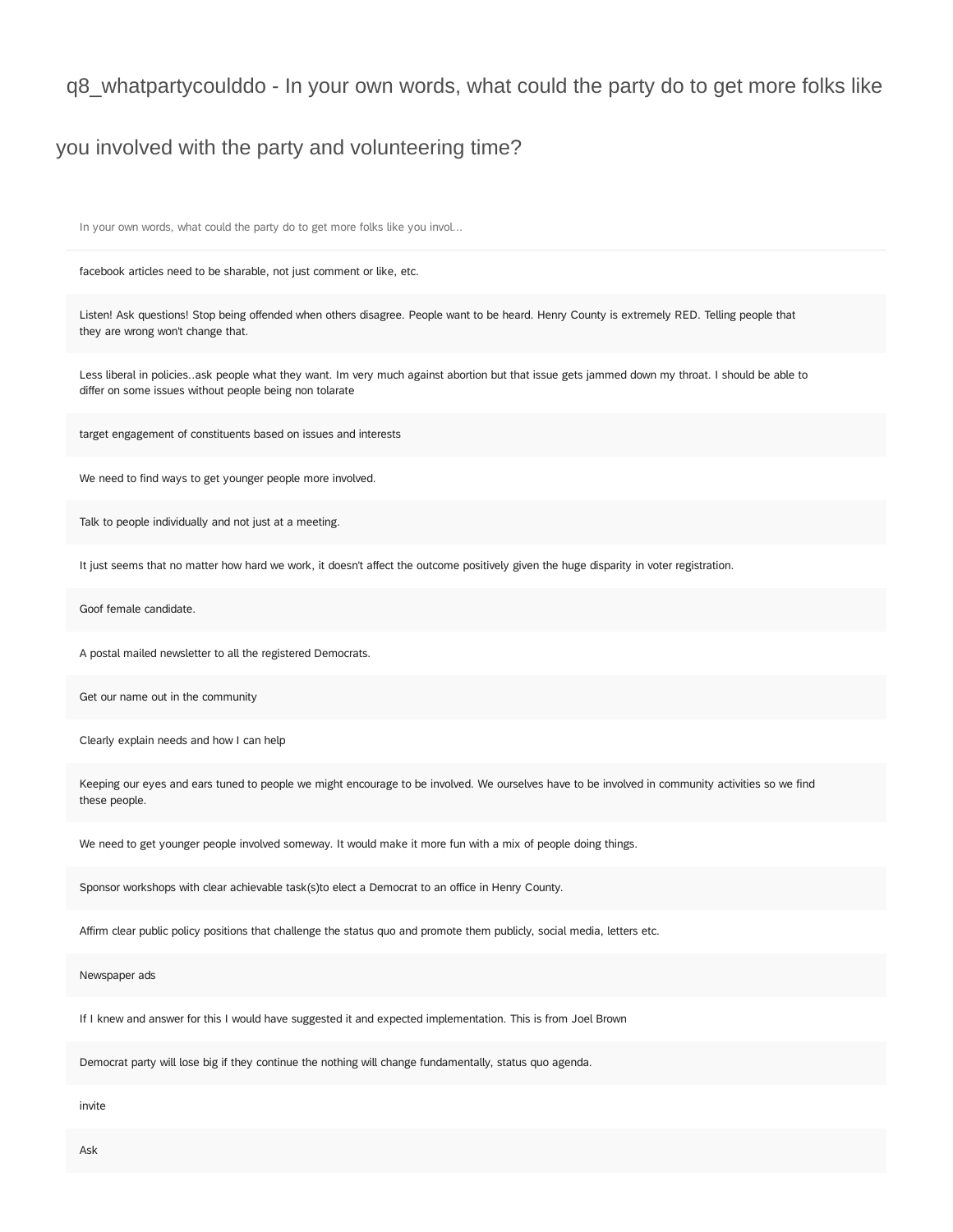#### q8\_whatpartycoulddo - In your own words, what could the party do to get more folks like

### you involved with the party and volunteering time?

In your own words, what could the party do to get more folks like you invol...

facebook articles need to be sharable, not just comment or like, etc.

Listen! Ask questions! Stop being offended when others disagree. People want to be heard. Henry County is extremely RED. Telling people that they are wrong won't change that.

Less liberal in policies..ask people what they want. Im very much against abortion but that issue gets jammed down my throat. I should be able to differ on some issues without people being non tolarate

target engagement of constituents based on issues and interests

We need to find ways to get younger people more involved.

Talk to people individually and not just at a meeting.

It just seems that no matter how hard we work, it doesn't affect the outcome positively given the huge disparity in voter registration.

Goof female candidate.

A postal mailed newsletter to all the registered Democrats.

Get our name out in the community

Clearly explain needs and how I can help

Keeping our eyes and ears tuned to people we might encourage to be involved. We ourselves have to be involved in community activities so we find these people.

We need to get younger people involved someway. It would make it more fun with a mix of people doing things.

Sponsor workshops with clear achievable task(s)to elect a Democrat to an office in Henry County.

Affirm clear public policy positions that challenge the status quo and promote them publicly, social media, letters etc.

Newspaper ads

If I knew and answer for this I would have suggested it and expected implementation. This is from Joel Brown

Democrat party will lose big if they continue the nothing will change fundamentally, status quo agenda.

invite